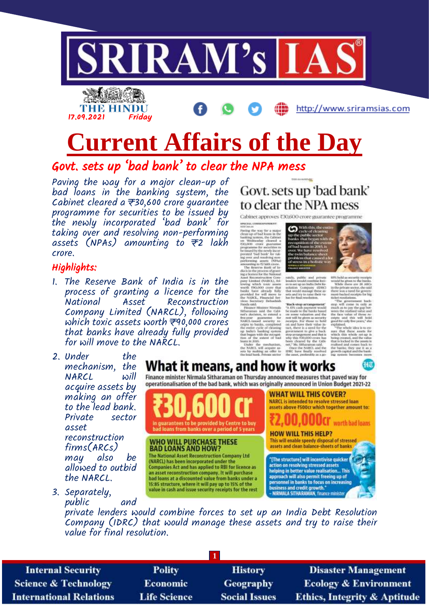



http://www.sriramsias.com

# **Current Affairs of the Day**

Govt. sets up 'bad bank' to clear the NPA mess

Paving the way for a major clean-up of bad loans in the banking system, the Cabinet cleared a  $\overline{\tau}$ 30,600 crore guarantee programme for securities to be issued by the newly incorporated 'bad bank' for taking over and resolving non-performing assets (NPAs) amounting to  $\overline{z}$  lakh crore.

#### Highlights:

- 1. The Reserve Bank of India is in the process of granting a licence for the National Asset Reconstruction Company Limited (NARCL), following which toxic assets worth  $\overline{z}$ 90,000 crores that banks have already fully provided for will move to the NARCL.
- 2. Under the mechanism, the  $NARCL$ acquire assets by making an offer to the lead bank.<br>Private sector Private asset reconstruction firms(ARCs) may also be allowed to outbid the NARCL.





awaxisa, communes<br/>wear away awaxisa awaxisa awaxisa awaxisa awaxisa awaxisa awaxisa awaxisa awaxisa awaxisa awaxisa awaxisa awaxisa awaxisa awaxisa awaxisa awaxisa awaxisa awaxisa awaxisa awaxisa awaxisa awaxisa awaxi

Schemman and the Calm<br>to besien, to extent a special special special state of<br>AASCL issued security for CASCL issued security re-<br>estimate completed the entire completed the entire cycle of cheating<br>approaching system India's basking system<br>it began with the recruption<br>in of the extent of bad<br>ma is 2005.<br>Under the mechanism,<br>'NotCl, will separe as<br>a by making an offer to<br>inad hank. Private sector



is is set up an India Debt Sir-<br>solution - Company - (IDRE)

their value in

89% held as security<br>would be groon to the<br>Wide: there are 2

orig crowes, and<br>or is locked in the

 $7.77$ 



What it means, and how it works Finance minister Nirmala Sitharaman on Thursday announced measures that paved way for operationalisation of the bad bank, which was originally announced in Union Budget 2021-22 **WHAT WILL THIS COVER?** NARCL is intended to resolve stressed loan assets above #500cr which together amount to: **Z, UU, UUUCI** worth bad loans **HOW WILL THIS HELP?** This will enable speedy disposal of stressed assets and clean balance-sheets of banks "[The structure] will incentivise quicker

3. Separately, public and

private lenders would combine forces to set up an India Debt Resolution Company (IDRC) that would manage these assets and try to raise their value for final resolution.

**1**

**Internal Security Science & Technology International Relations** 

**Polity** Economic **Life Science** 

**History** Geography **Social Issues** 

**Disaster Management Ecology & Environment Ethics, Integrity & Aptitude**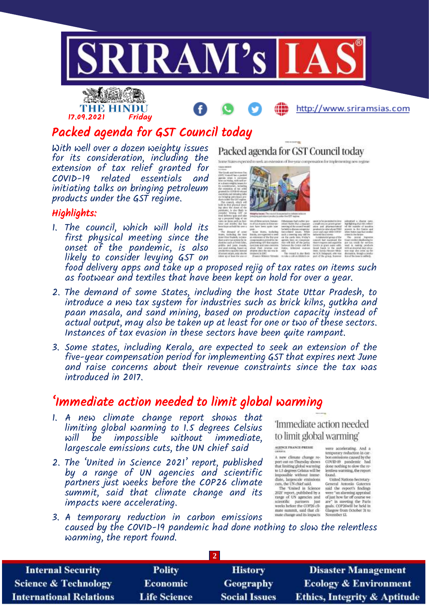

# THE HINDU 17.09.2021 Friday

http://www.sriramsias.com

## Packed agenda for GST Council today

With well over a dozen weighty issues for its consideration, including the extension of tax relief granted for<br>COVID-19 related essentials and  $Cov1D-19$  related essentials initiating talks on bringing petroleum products under the GST regime.

### Highlights:

1. The council, which will hold its first physical meeting since the onset of the pandemic, is also likely to consider levying GST on

#### Packed agenda for GST Council today sion of tive year compensation for implementing new regime



food delivery apps and take up a proposed rejig of tax rates on items such as footwear and textiles that have been kept on hold for over a year.

- 2. The demand of some States, including the host State Uttar Pradesh, to introduce a new tax system for industries such as brick kilns, gutkha and paan masala, and sand mining, based on production capacity instead of actual output, may also be taken up at least for one or two of these sectors. Instances of tax evasion in these sectors have been quite rampant.
- 3. Some states, including Kerala, are expected to seek an extension of the five-year compensation period for implementing GST that expires next June and raise concerns about their revenue constraints since the tax was introduced in 2017.

## 'Immediate action needed to limit global warming

- 1. A new climate change report shows that limiting global warming to 1.5 degrees Celsius will be impossible largescale emissions cuts, the UN chief said
- 2. The 'United in Science 2021' report, published by a range of UN agencies and scientific partners just weeks before the COP26 climate summit, said that climate change and its impacts were accelerating.

'Immediate action needed to limit global warming

#### AGENCE PRANCE-PRESSE

A new climate change re<br>
A new climate change re<br>
port out on Thursday shows<br>
that limiting global warming<br>
impossible without lime<br>
impossible without lime<br>
dato, largescale emissions<br>
The United in Science<br>
The United in

cuts, the UN criterisals.<br>The "United in Science<br>2021' report, published by a<br>range of UN agencies and<br>scientific partners into<br>weeks before the COP26 clb<br>mate summit, said that cli mate change and its impacts.

were accelerating. And a<br>temporary reduction in car-<br>born emissions caused by the<br>COVID-19 pandemic had<br>done nothing to slow the re-<br>lemmes warring, the report<br>found Motors Secretary<br>Connenl Antonio Gaterres

United Nations Secretary<br>General Atecores Gaterres<br>said the report's findings<br>were "an alarming appraisal of just how far of pouns we<br>are " in meeting the Paris<br>gass. COP26960ff be held in Glasgow from October 31 to<br>Novem

3. A temporary reduction in carbon emissions caused by the COVID-19 pandemic had done nothing to slow the relentless warming, the report found.

| <b>Internal Security</b>       | <b>Polity</b>       | <b>History</b>       | <b>Disaster Management</b>              |
|--------------------------------|---------------------|----------------------|-----------------------------------------|
| Science & Technology           | <b>Economic</b>     | <b>Geography</b>     | <b>Ecology &amp; Environment</b>        |
| <b>International Relations</b> | <b>Life Science</b> | <b>Social Issues</b> | <b>Ethics, Integrity &amp; Aptitude</b> |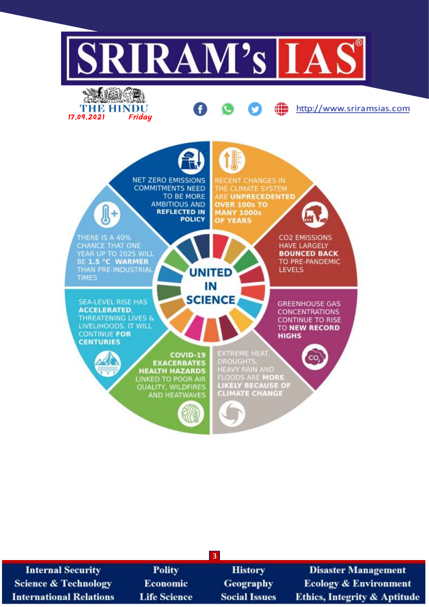

| <b>Internal Security</b>        | <b>Polity</b>       | <b>History</b>       | <b>Disaster Management</b>              |
|---------------------------------|---------------------|----------------------|-----------------------------------------|
| <b>Science &amp; Technology</b> | <b>Economic</b>     | <b>Geography</b>     | <b>Ecology &amp; Environment</b>        |
| <b>International Relations</b>  | <b>Life Science</b> | <b>Social Issues</b> | <b>Ethics, Integrity &amp; Aptitude</b> |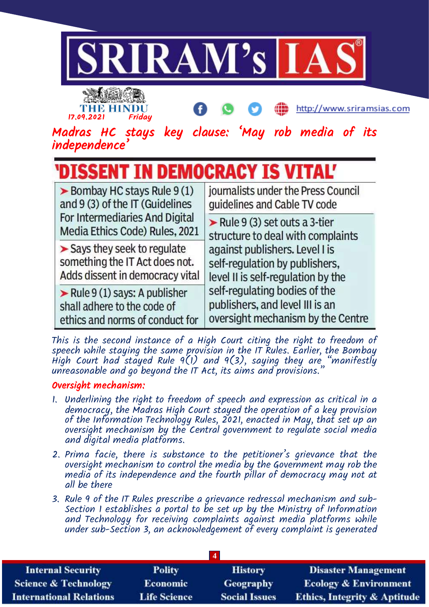

This is the second instance of a High Court citing the right to freedom of speech while staying the same provision in the IT Rules. Earlier, the Bombay High Court had stayed Rule 9(1) and 9(3), saying they are "manifestly unreasonable and go beyond the IT Act, its aims and provisions."

## Oversight mechanism:

- 1. Underlining the right to freedom of speech and expression as critical in a democracy, the Madras High Court stayed the operation of a key provision of the Information Technology Rules, 2021, enacted in May, that set up an oversight mechanism by the Central government to regulate social media and digital media platforms.
- 2. Prima facie, there is substance to the petitioner's grievance that the oversight mechanism to control the media by the Government may rob the media of its independence and the fourth pillar of democracy may not at all be there
- 3. Rule 9 of the IT Rules prescribe a grievance redressal mechanism and sub-Section I establishes a portal to be set up by the Ministry of Information and Technology for receiving complaints against media platforms while under sub-Section 3, an acknowledgement of every complaint is generated

| <b>Internal Security</b>        | <b>Polity</b>       | <b>History</b>       | <b>Disaster Management</b>              |
|---------------------------------|---------------------|----------------------|-----------------------------------------|
| <b>Science &amp; Technology</b> | <b>Economic</b>     | Geography            | <b>Ecology &amp; Environment</b>        |
| <b>International Relations</b>  | <b>Life Science</b> | <b>Social Issues</b> | <b>Ethics, Integrity &amp; Aptitude</b> |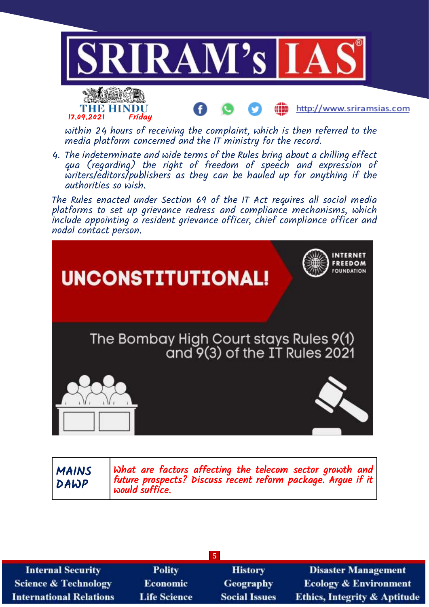







MAINS DAWP

What are factors affecting the telecom sector growth and future prospects? Discuss recent reform package. Argue if it would suffice.

| <b>Internal Security</b>        | <b>Polity</b>       | <b>History</b>       | <b>Disaster Management</b>              |
|---------------------------------|---------------------|----------------------|-----------------------------------------|
| <b>Science &amp; Technology</b> | <b>Economic</b>     | <b>Geography</b>     | <b>Ecology &amp; Environment</b>        |
| <b>International Relations</b>  | <b>Life Science</b> | <b>Social Issues</b> | <b>Ethics, Integrity &amp; Aptitude</b> |